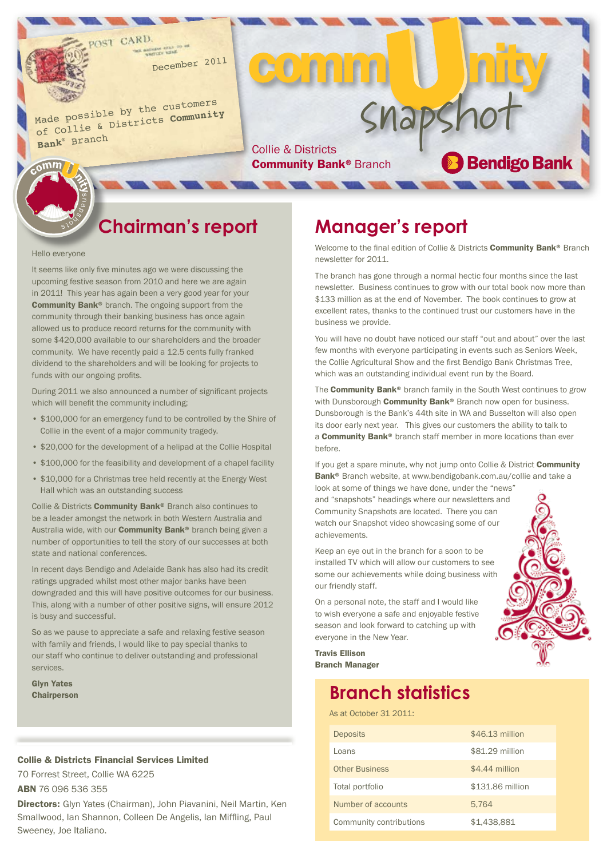December <sup>2011</sup>

Made possible by the customers of Collie & Districts **Community Bank**® Branc<sup>h</sup>

Snapshot Community Bank<sup>®</sup> Branch

CO nn

## **Chairman's report**

#### Hello everyone

 $6$ mm

It seems like only five minutes ago we were discussing the upcoming festive season from 2010 and here we are again in 2011! This year has again been a very good year for your Community Bank® branch. The ongoing support from the community through their banking business has once again allowed us to produce record returns for the community with some \$420,000 available to our shareholders and the broader community. We have recently paid a 12.5 cents fully franked dividend to the shareholders and will be looking for projects to funds with our ongoing profits.

During 2011 we also announced a number of significant projects which will benefit the community including;

- \$100,000 for an emergency fund to be controlled by the Shire of Collie in the event of a major community tragedy.
- \$20,000 for the development of a helipad at the Collie Hospital
- \$100,000 for the feasibility and development of a chapel facility
- \$10,000 for a Christmas tree held recently at the Energy West Hall which was an outstanding success

Collie & Districts Community Bank® Branch also continues to be a leader amongst the network in both Western Australia and Australia wide, with our **Community Bank®** branch being given a number of opportunities to tell the story of our successes at both state and national conferences.

In recent days Bendigo and Adelaide Bank has also had its credit ratings upgraded whilst most other major banks have been downgraded and this will have positive outcomes for our business. This, along with a number of other positive signs, will ensure 2012 is busy and successful.

So as we pause to appreciate a safe and relaxing festive season with family and friends, I would like to pay special thanks to our staff who continue to deliver outstanding and professional services.

Glyn Yates **Chairperson** 

### Collie & Districts Financial Services Limited

70 Forrest Street, Collie WA 6225 ABN 76 096 536 355

Directors: Glyn Yates (Chairman), John Piavanini, Neil Martin, Ken Smallwood, Ian Shannon, Colleen De Angelis, Ian Miffling, Paul Sweeney, Joe Italiano.

## **Manager's report**

Welcome to the final edition of Collie & Districts **Community Bank®** Branch newsletter for 2011.

The branch has gone through a normal hectic four months since the last newsletter. Business continues to grow with our total book now more than \$133 million as at the end of November. The book continues to grow at excellent rates, thanks to the continued trust our customers have in the business we provide.

You will have no doubt have noticed our staff "out and about" over the last few months with everyone participating in events such as Seniors Week, the Collie Agricultural Show and the first Bendigo Bank Christmas Tree, which was an outstanding individual event run by the Board.

The **Community Bank®** branch family in the South West continues to grow with Dunsborough **Community Bank®** Branch now open for business. Dunsborough is the Bank's 44th site in WA and Busselton will also open its door early next year. This gives our customers the ability to talk to a **Community Bank®** branch staff member in more locations than ever before.

If you get a spare minute, why not jump onto Collie & District Community Bank<sup>®</sup> Branch website, at www.bendigobank.com.au/collie and take a

look at some of things we have done, under the "news" and "snapshots" headings where our newsletters and Community Snapshots are located. There you can watch our Snapshot video showcasing some of our achievements.

Keep an eye out in the branch for a soon to be installed TV which will allow our customers to see some our achievements while doing business with our friendly staff.

On a personal note, the staff and I would like to wish everyone a safe and enjoyable festive season and look forward to catching up with everyone in the New Year.

Travis Ellison Branch Manager

## **Branch statistics**

As at October 31 2011:

| <b>Deposits</b>         | \$46.13 million  |
|-------------------------|------------------|
| l oans                  | \$81,29 million  |
| <b>Other Business</b>   | \$4.44 million   |
| Total portfolio         | \$131.86 million |
| Number of accounts      | 5.764            |
| Community contributions | \$1.438.881      |